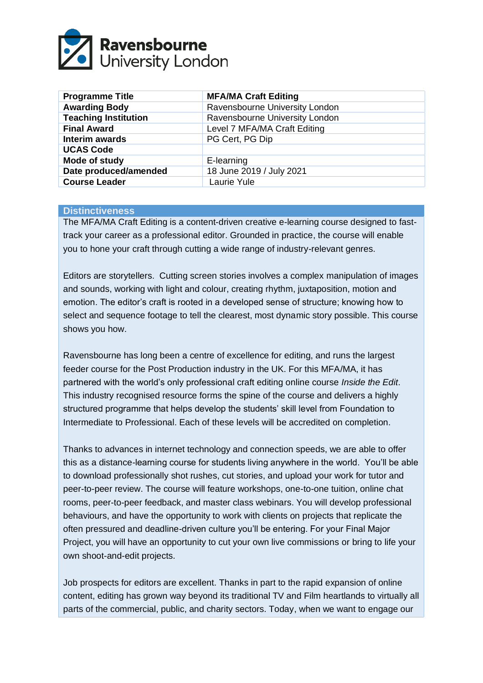

| <b>Programme Title</b>      | <b>MFA/MA Craft Editing</b>    |
|-----------------------------|--------------------------------|
| <b>Awarding Body</b>        | Ravensbourne University London |
| <b>Teaching Institution</b> | Ravensbourne University London |
| <b>Final Award</b>          | Level 7 MFA/MA Craft Editing   |
| Interim awards              | PG Cert, PG Dip                |
| <b>UCAS Code</b>            |                                |
| Mode of study               | E-learning                     |
| Date produced/amended       | 18 June 2019 / July 2021       |
| <b>Course Leader</b>        | Laurie Yule                    |

#### **Distinctiveness**

The MFA/MA Craft Editing is a content-driven creative e-learning course designed to fasttrack your career as a professional editor. Grounded in practice, the course will enable you to hone your craft through cutting a wide range of industry-relevant genres.

Editors are storytellers. Cutting screen stories involves a complex manipulation of images and sounds, working with light and colour, creating rhythm, juxtaposition, motion and emotion. The editor's craft is rooted in a developed sense of structure; knowing how to select and sequence footage to tell the clearest, most dynamic story possible. This course shows you how.

Ravensbourne has long been a centre of excellence for editing, and runs the largest feeder course for the Post Production industry in the UK. For this MFA/MA, it has partnered with the world's only professional craft editing online course *Inside the Edit*. This industry recognised resource forms the spine of the course and delivers a highly structured programme that helps develop the students' skill level from Foundation to Intermediate to Professional. Each of these levels will be accredited on completion.

Thanks to advances in internet technology and connection speeds, we are able to offer this as a distance-learning course for students living anywhere in the world. You'll be able to download professionally shot rushes, cut stories, and upload your work for tutor and peer-to-peer review. The course will feature workshops, one-to-one tuition, online chat rooms, peer-to-peer feedback, and master class webinars. You will develop professional behaviours, and have the opportunity to work with clients on projects that replicate the often pressured and deadline-driven culture you'll be entering. For your Final Major Project, you will have an opportunity to cut your own live commissions or bring to life your own shoot-and-edit projects.

Job prospects for editors are excellent. Thanks in part to the rapid expansion of online content, editing has grown way beyond its traditional TV and Film heartlands to virtually all parts of the commercial, public, and charity sectors. Today, when we want to engage our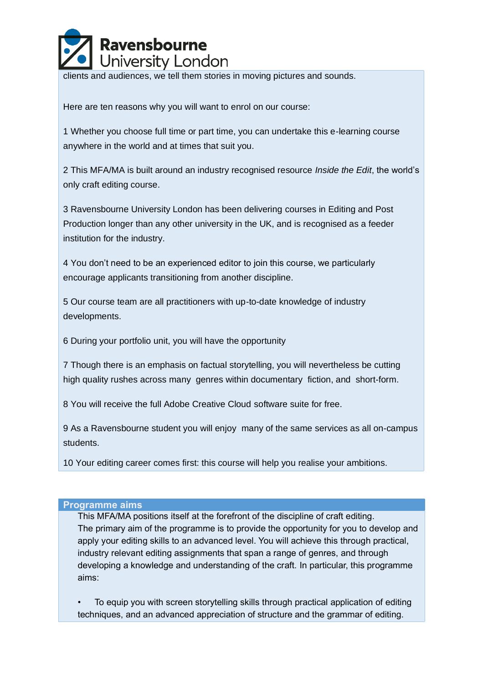

clients and audiences, we tell them stories in moving pictures and sounds.

Here are ten reasons why you will want to enrol on our course:

1 Whether you choose full time or part time, you can undertake this e-learning course anywhere in the world and at times that suit you.

2 This MFA/MA is built around an industry recognised resource *Inside the Edit*, the world's only craft editing course.

3 Ravensbourne University London has been delivering courses in Editing and Post Production longer than any other university in the UK, and is recognised as a feeder institution for the industry.

4 You don't need to be an experienced editor to join this course, we particularly encourage applicants transitioning from another discipline.

5 Our course team are all practitioners with up-to-date knowledge of industry developments.

6 During your portfolio unit, you will have the opportunity

7 Though there is an emphasis on factual storytelling, you will nevertheless be cutting high quality rushes across many genres within documentary fiction, and short-form.

8 You will receive the full Adobe Creative Cloud software suite for free.

9 As a Ravensbourne student you will enjoy many of the same services as all on-campus students.

10 Your editing career comes first: this course will help you realise your ambitions.

#### **Programme aims**

This MFA/MA positions itself at the forefront of the discipline of craft editing. The primary aim of the programme is to provide the opportunity for you to develop and apply your editing skills to an advanced level. You will achieve this through practical, industry relevant editing assignments that span a range of genres, and through developing a knowledge and understanding of the craft. In particular, this programme aims:

• To equip you with screen storytelling skills through practical application of editing techniques, and an advanced appreciation of structure and the grammar of editing.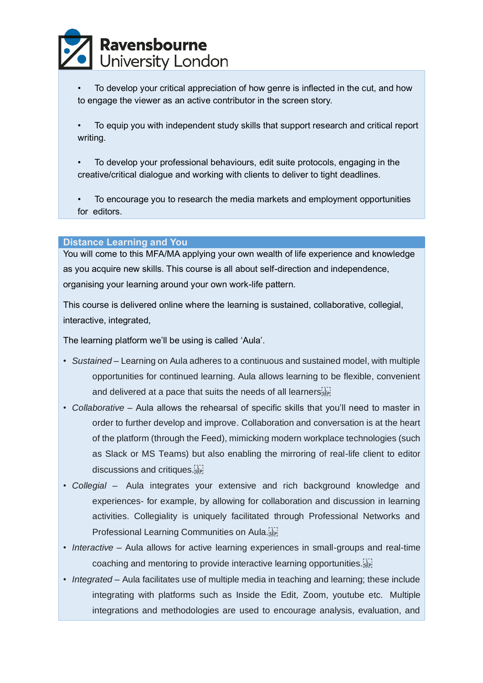

- To develop your critical appreciation of how genre is inflected in the cut, and how to engage the viewer as an active contributor in the screen story.
- To equip you with independent study skills that support research and critical report writing.
- To develop your professional behaviours, edit suite protocols, engaging in the creative/critical dialogue and working with clients to deliver to tight deadlines.
- To encourage you to research the media markets and employment opportunities for editors.

#### **Distance Learning and You**

You will come to this MFA/MA applying your own wealth of life experience and knowledge as you acquire new skills. This course is all about self-direction and independence, organising your learning around your own work-life pattern.

This course is delivered online where the learning is sustained, collaborative, collegial, interactive, integrated,

The learning platform we'll be using is called 'Aula'.

- *Sustained* Learning on Aula adheres to a continuous and sustained model, with multiple opportunities for continued learning. Aula allows learning to be flexible, convenient and delivered at a pace that suits the needs of all learners
- *Collaborative* Aula allows the rehearsal of specific skills that you'll need to master in order to further develop and improve. Collaboration and conversation is at the heart of the platform (through the Feed), mimicking modern workplace technologies (such as Slack or MS Teams) but also enabling the mirroring of real-life client to editor discussions and critiques.
- *Collegial* Aula integrates your extensive and rich background knowledge and experiences- for example, by allowing for collaboration and discussion in learning activities. Collegiality is uniquely facilitated through Professional Networks and Professional Learning Communities on Aula.
- *Interactive* Aula allows for active learning experiences in small-groups and real-time coaching and mentoring to provide interactive learning opportunities. [17]
- *Integrated* Aula facilitates use of multiple media in teaching and learning; these include integrating with platforms such as Inside the Edit*,* Zoom, youtube etc. Multiple integrations and methodologies are used to encourage analysis, evaluation, and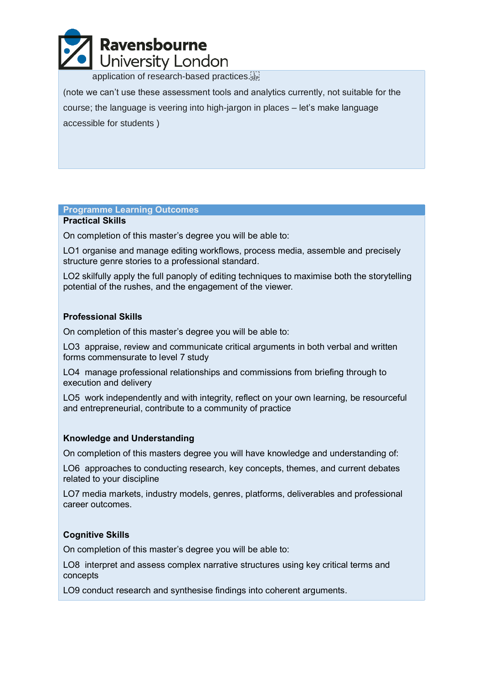

application of research-based practices.

(note we can't use these assessment tools and analytics currently, not suitable for the course; the language is veering into high-jargon in places – let's make language accessible for students )

#### **Programme Learning Outcomes**

#### **Practical Skills**

On completion of this master's degree you will be able to:

LO1 organise and manage editing workflows, process media, assemble and precisely structure genre stories to a professional standard.

LO2 skilfully apply the full panoply of editing techniques to maximise both the storytelling potential of the rushes, and the engagement of the viewer.

#### **Professional Skills**

On completion of this master's degree you will be able to:

LO3 appraise, review and communicate critical arguments in both verbal and written forms commensurate to level 7 study

LO4 manage professional relationships and commissions from briefing through to execution and delivery

LO5 work independently and with integrity, reflect on your own learning, be resourceful and entrepreneurial, contribute to a community of practice

#### **Knowledge and Understanding**

On completion of this masters degree you will have knowledge and understanding of:

LO6 approaches to conducting research, key concepts, themes, and current debates related to your discipline

LO7 media markets, industry models, genres, platforms, deliverables and professional career outcomes.

#### **Cognitive Skills**

On completion of this master's degree you will be able to:

LO8 interpret and assess complex narrative structures using key critical terms and concepts

LO9 conduct research and synthesise findings into coherent arguments.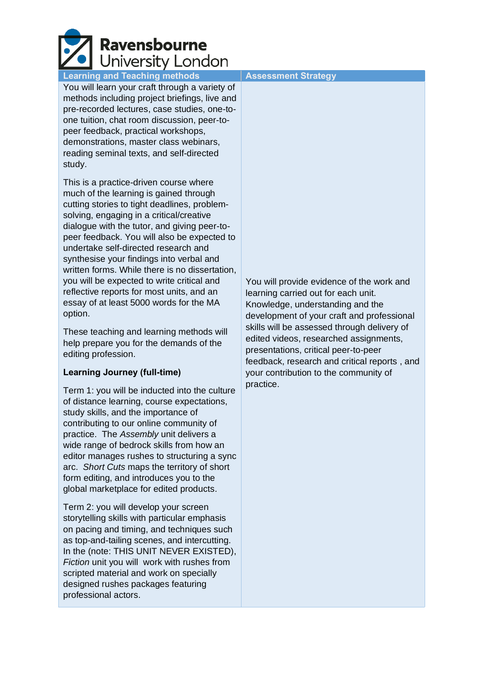# **Ravensbourne** University London

### **Learning and Teaching methods | Assessment Strategy**

You will learn your craft through a variety of methods including project briefings, live and pre-recorded lectures, case studies, one-toone tuition, chat room discussion, peer-topeer feedback, practical workshops, demonstrations, master class webinars, reading seminal texts, and self-directed study.

This is a practice-driven course where much of the learning is gained through cutting stories to tight deadlines, problemsolving, engaging in a critical/creative dialogue with the tutor, and giving peer-topeer feedback. You will also be expected to undertake self-directed research and synthesise your findings into verbal and written forms. While there is no dissertation, you will be expected to write critical and reflective reports for most units, and an essay of at least 5000 words for the MA option.

These teaching and learning methods will help prepare you for the demands of the editing profession.

#### **Learning Journey (full-time)**

Term 1: you will be inducted into the culture of distance learning, course expectations, study skills, and the importance of contributing to our online community of practice. The *Assembly* unit delivers a wide range of bedrock skills from how an editor manages rushes to structuring a sync arc. *Short Cuts* maps the territory of short form editing, and introduces you to the global marketplace for edited products.

Term 2: you will develop your screen storytelling skills with particular emphasis on pacing and timing, and techniques such as top-and-tailing scenes, and intercutting. In the (note: THIS UNIT NEVER EXISTED), *Fiction* unit you will work with rushes from scripted material and work on specially designed rushes packages featuring professional actors.

You will provide evidence of the work and learning carried out for each unit. Knowledge, understanding and the development of your craft and professional skills will be assessed through delivery of edited videos, researched assignments, presentations, critical peer-to-peer feedback, research and critical reports , and your contribution to the community of practice.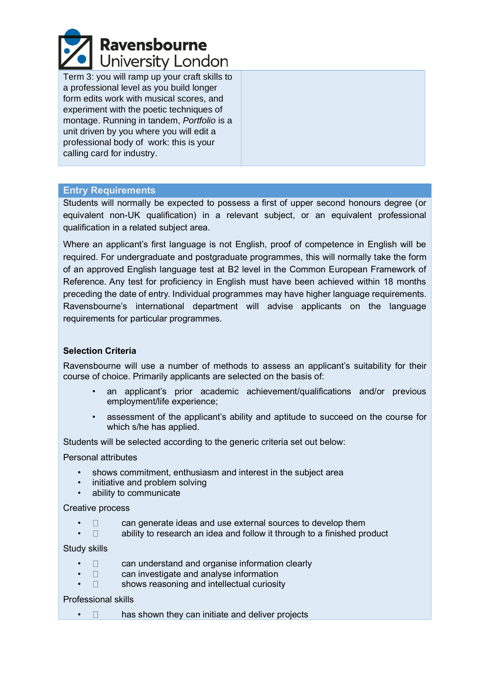

Term 3: you will ramp up your craft skills to a professional level as you build longer form edits work with musical scores, and experiment with the poetic techniques of montage. Running in tandem, *Portfolio* is a unit driven by you where you will edit a professional body of work: this is your calling card for industry.

#### **Entry Requirements**

Students will normally be expected to possess a first of upper second honours degree (or equivalent non-UK qualification) in a relevant subject, or an equivalent professional qualification in a related subject area.

Where an applicant's first language is not English, proof of competence in English will be required. For undergraduate and postgraduate programmes, this will normally take the form of an approved English language test at B2 level in the Common European Framework of Reference. Any test for proficiency in English must have been achieved within 18 months preceding the date of entry. Individual programmes may have higher language requirements. Ravensbourne's international department will advise applicants on the language requirements for particular programmes.

#### **Selection Criteria**

Ravensbourne will use a number of methods to assess an applicant's suitability for their course of choice. Primarily applicants are selected on the basis of:

- an applicant's prior academic achievement/qualifications and/or previous employment/life experience;
- assessment of the applicant's ability and aptitude to succeed on the course for which s/he has applied.

Students will be selected according to the generic criteria set out below:

Personal attributes

- shows commitment, enthusiasm and interest in the subject area
- initiative and problem solving
- ability to communicate

#### Creative process

- $\Box$  can generate ideas and use external sources to develop them
- $\bullet$   $\Box$  ability to research an idea and follow it through to a finished product

Study skills

- $\Box$  can understand and organise information clearly
- $\Box$  can investigate and analyse information
- $\Box$  shows reasoning and intellectual curiosity

#### Professional skills

•  $\Box$  has shown they can initiate and deliver projects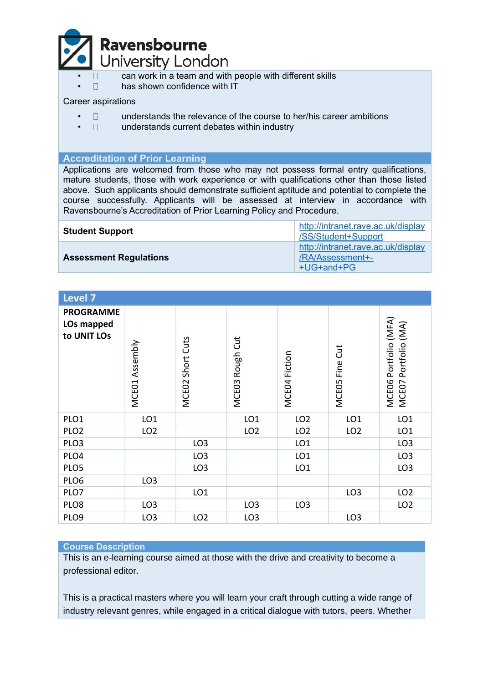

- $\Box$  can work in a team and with people with different skills<br> $\Box$  has shown confidence with IT
- has shown confidence with IT

#### Career aspirations

- $\bullet$   $\Box$  understands the relevance of the course to her/his career ambitions
- $\Box$  understands current debates within industry

### **Accreditation of Prior Learning**

Applications are welcomed from those who may not possess formal entry qualifications, mature students, those with work experience or with qualifications other than those listed above. Such applicants should demonstrate sufficient aptitude and potential to complete the course successfully. Applicants will be assessed at interview in accordance with Ravensbourne's Accreditation of Prior Learning Policy and Procedure.

| <b>Student Support</b>        | http://intranet.rave.ac.uk/display<br>/SS/Student+Support            |  |
|-------------------------------|----------------------------------------------------------------------|--|
| <b>Assessment Regulations</b> | http://intranet.rave.ac.uk/display<br>/RA/Assessment+-<br>+UG+and+PG |  |

| <b>Level 7</b>                                |                   |                                 |                 |                 |                 |                                                     |
|-----------------------------------------------|-------------------|---------------------------------|-----------------|-----------------|-----------------|-----------------------------------------------------|
| <b>PROGRAMME</b><br>LOs mapped<br>to UNIT LOs | Assembly<br>MCE01 | Short Cuts<br>MCE <sub>02</sub> | MCE03 Rough Cut | MCE04 Fiction   | MCEO5 Fine Cut  | MCEO6 Portfolio (MFA)<br>(MA)<br>Portfolio<br>MCEO7 |
| PLO1                                          | LO <sub>1</sub>   |                                 | LO <sub>1</sub> | LO <sub>2</sub> | LO <sub>1</sub> | LO <sub>1</sub>                                     |
| PLO <sub>2</sub>                              | LO <sub>2</sub>   |                                 | LO <sub>2</sub> | LO <sub>2</sub> | LO <sub>2</sub> | LO <sub>1</sub>                                     |
| PLO <sub>3</sub>                              |                   | LO <sub>3</sub>                 |                 | LO <sub>1</sub> |                 | LO <sub>3</sub>                                     |
| PLO4                                          |                   | LO <sub>3</sub>                 |                 | LO <sub>1</sub> |                 | LO <sub>3</sub>                                     |
| PLO5                                          |                   | LO <sub>3</sub>                 |                 | LO <sub>1</sub> |                 | LO <sub>3</sub>                                     |
| PLO6                                          | LO <sub>3</sub>   |                                 |                 |                 |                 |                                                     |
| PLO7                                          |                   | LO <sub>1</sub>                 |                 |                 | LO <sub>3</sub> | LO <sub>2</sub>                                     |
| PLO8                                          | LO <sub>3</sub>   |                                 | LO <sub>3</sub> | LO <sub>3</sub> |                 | LO <sub>2</sub>                                     |
| PLO9                                          | LO <sub>3</sub>   | LO <sub>2</sub>                 | LO <sub>3</sub> |                 | LO <sub>3</sub> |                                                     |

#### **Course Description**

This is an e-learning course aimed at those with the drive and creativity to become a professional editor.

This is a practical masters where you will learn your craft through cutting a wide range of industry relevant genres, while engaged in a critical dialogue with tutors, peers. Whether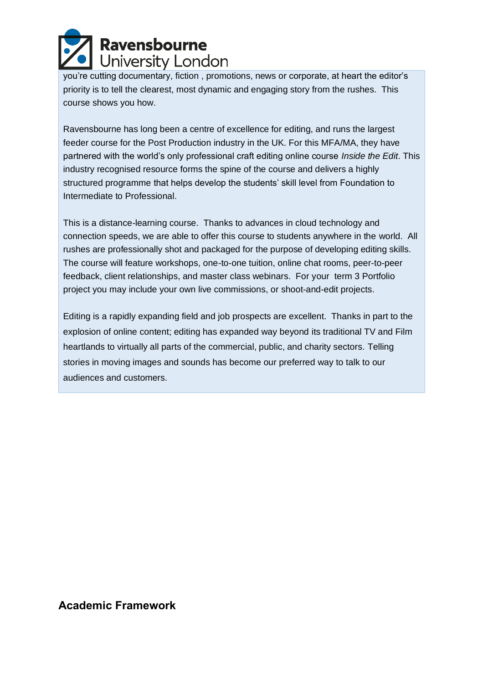# Ravensbourne University London

you're cutting documentary, fiction , promotions, news or corporate, at heart the editor's priority is to tell the clearest, most dynamic and engaging story from the rushes. This course shows you how.

Ravensbourne has long been a centre of excellence for editing, and runs the largest feeder course for the Post Production industry in the UK. For this MFA/MA, they have partnered with the world's only professional craft editing online course *Inside the Edit*. This industry recognised resource forms the spine of the course and delivers a highly structured programme that helps develop the students' skill level from Foundation to Intermediate to Professional.

This is a distance-learning course. Thanks to advances in cloud technology and connection speeds, we are able to offer this course to students anywhere in the world. All rushes are professionally shot and packaged for the purpose of developing editing skills. The course will feature workshops, one-to-one tuition, online chat rooms, peer-to-peer feedback, client relationships, and master class webinars. For your term 3 Portfolio project you may include your own live commissions, or shoot-and-edit projects.

Editing is a rapidly expanding field and job prospects are excellent. Thanks in part to the explosion of online content; editing has expanded way beyond its traditional TV and Film heartlands to virtually all parts of the commercial, public, and charity sectors. Telling stories in moving images and sounds has become our preferred way to talk to our audiences and customers.

# **Academic Framework**